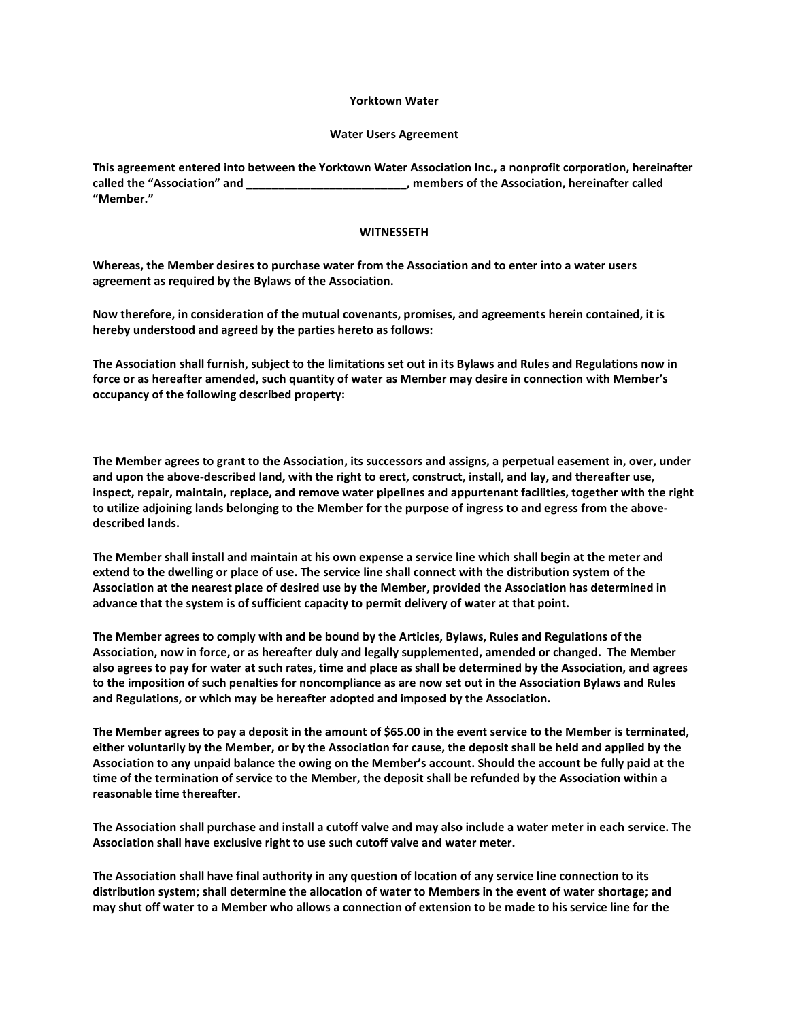## **Yorktown Water**

## **Water Users Agreement**

**This agreement entered into between the Yorktown Water Association Inc., a nonprofit corporation, hereinafter called the "Association" and \_\_\_\_\_\_\_\_\_\_\_\_\_\_\_\_\_\_\_\_\_\_\_\_\_, members of the Association, hereinafter called "Member."**

## **WITNESSETH**

**Whereas, the Member desires to purchase water from the Association and to enter into a water users agreement as required by the Bylaws of the Association.**

**Now therefore, in consideration of the mutual covenants, promises, and agreements herein contained, it is hereby understood and agreed by the parties hereto as follows:**

**The Association shall furnish, subject to the limitations set out in its Bylaws and Rules and Regulations now in force or as hereafter amended, such quantity of water as Member may desire in connection with Member's occupancy of the following described property:**

**The Member agrees to grant to the Association, its successors and assigns, a perpetual easement in, over, under and upon the above-described land, with the right to erect, construct, install, and lay, and thereafter use, inspect, repair, maintain, replace, and remove water pipelines and appurtenant facilities, together with the right to utilize adjoining lands belonging to the Member for the purpose of ingress to and egress from the abovedescribed lands.**

**The Member shall install and maintain at his own expense a service line which shall begin at the meter and extend to the dwelling or place of use. The service line shall connect with the distribution system of the Association at the nearest place of desired use by the Member, provided the Association has determined in advance that the system is of sufficient capacity to permit delivery of water at that point.**

**The Member agrees to comply with and be bound by the Articles, Bylaws, Rules and Regulations of the Association, now in force, or as hereafter duly and legally supplemented, amended or changed. The Member also agrees to pay for water at such rates, time and place as shall be determined by the Association, and agrees to the imposition of such penalties for noncompliance as are now set out in the Association Bylaws and Rules and Regulations, or which may be hereafter adopted and imposed by the Association.**

**The Member agrees to pay a deposit in the amount of \$65.00 in the event service to the Member is terminated, either voluntarily by the Member, or by the Association for cause, the deposit shall be held and applied by the Association to any unpaid balance the owing on the Member's account. Should the account be fully paid at the time of the termination of service to the Member, the deposit shall be refunded by the Association within a reasonable time thereafter.**

**The Association shall purchase and install a cutoff valve and may also include a water meter in each service. The Association shall have exclusive right to use such cutoff valve and water meter.**

**The Association shall have final authority in any question of location of any service line connection to its distribution system; shall determine the allocation of water to Members in the event of water shortage; and may shut off water to a Member who allows a connection of extension to be made to his service line for the**